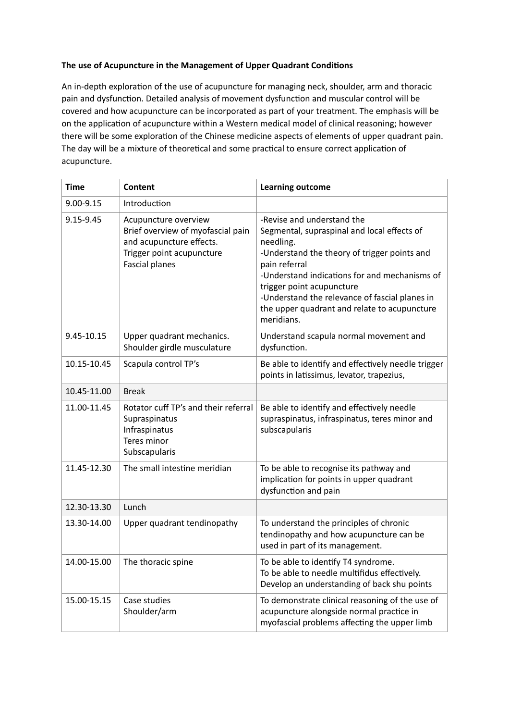## **The use of Acupuncture in the Management of Upper Quadrant Conditions**

An in-depth exploration of the use of acupuncture for managing neck, shoulder, arm and thoracic pain and dysfunction. Detailed analysis of movement dysfunction and muscular control will be covered and how acupuncture can be incorporated as part of your treatment. The emphasis will be on the application of acupuncture within a Western medical model of clinical reasoning; however there will be some exploration of the Chinese medicine aspects of elements of upper quadrant pain. The day will be a mixture of theoretical and some practical to ensure correct application of acupuncture.

| <b>Time</b> | Content                                                                                                                                     | <b>Learning outcome</b>                                                                                                                                                                                                                                                                                                                               |
|-------------|---------------------------------------------------------------------------------------------------------------------------------------------|-------------------------------------------------------------------------------------------------------------------------------------------------------------------------------------------------------------------------------------------------------------------------------------------------------------------------------------------------------|
| 9.00-9.15   | Introduction                                                                                                                                |                                                                                                                                                                                                                                                                                                                                                       |
| 9.15-9.45   | Acupuncture overview<br>Brief overview of myofascial pain<br>and acupuncture effects.<br>Trigger point acupuncture<br><b>Fascial planes</b> | -Revise and understand the<br>Segmental, supraspinal and local effects of<br>needling.<br>-Understand the theory of trigger points and<br>pain referral<br>-Understand indications for and mechanisms of<br>trigger point acupuncture<br>-Understand the relevance of fascial planes in<br>the upper quadrant and relate to acupuncture<br>meridians. |
| 9.45-10.15  | Upper quadrant mechanics.<br>Shoulder girdle musculature                                                                                    | Understand scapula normal movement and<br>dysfunction.                                                                                                                                                                                                                                                                                                |
| 10.15-10.45 | Scapula control TP's                                                                                                                        | Be able to identify and effectively needle trigger<br>points in latissimus, levator, trapezius,                                                                                                                                                                                                                                                       |
| 10.45-11.00 | <b>Break</b>                                                                                                                                |                                                                                                                                                                                                                                                                                                                                                       |
| 11.00-11.45 | Rotator cuff TP's and their referral<br>Supraspinatus<br>Infraspinatus<br>Teres minor<br>Subscapularis                                      | Be able to identify and effectively needle<br>supraspinatus, infraspinatus, teres minor and<br>subscapularis                                                                                                                                                                                                                                          |
| 11.45-12.30 | The small intestine meridian                                                                                                                | To be able to recognise its pathway and<br>implication for points in upper quadrant<br>dysfunction and pain                                                                                                                                                                                                                                           |
| 12.30-13.30 | Lunch                                                                                                                                       |                                                                                                                                                                                                                                                                                                                                                       |
| 13.30-14.00 | Upper quadrant tendinopathy                                                                                                                 | To understand the principles of chronic<br>tendinopathy and how acupuncture can be<br>used in part of its management.                                                                                                                                                                                                                                 |
| 14.00-15.00 | The thoracic spine                                                                                                                          | To be able to identify T4 syndrome.<br>To be able to needle multifidus effectively.<br>Develop an understanding of back shu points                                                                                                                                                                                                                    |
| 15.00-15.15 | Case studies<br>Shoulder/arm                                                                                                                | To demonstrate clinical reasoning of the use of<br>acupuncture alongside normal practice in<br>myofascial problems affecting the upper limb                                                                                                                                                                                                           |